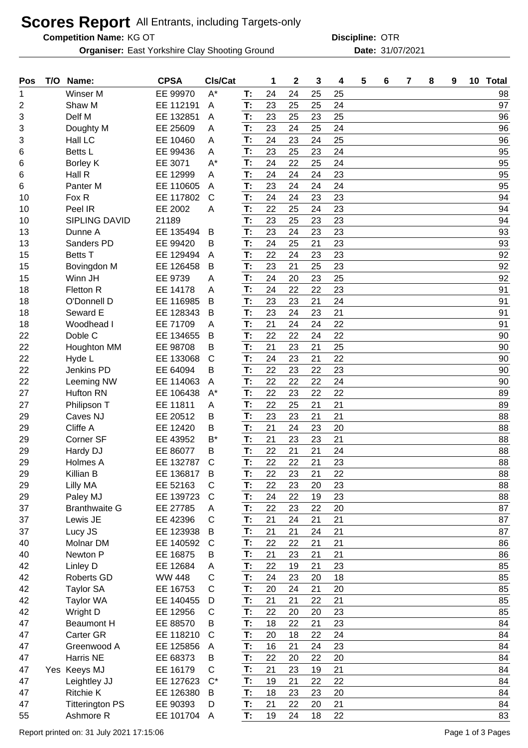## **Scores Report** All Entrants, including Targets-only

**Competition Name:**

**Organiser:** East Yorkshire Clay Shooting Ground **Date:** 31/07/2021

KG OT OTR **Discipline:**

| $A^*$<br>24<br>Winser M<br>EE 99970<br>24<br>25<br>25<br>1<br>T:<br>23<br>25<br>24<br>Shaw M<br>EE 112191<br>T:<br>25<br>2<br>A<br>T:<br>23<br>Delf M<br>EE 132851<br>25<br>25<br>3<br>23<br>A<br>23<br>Doughty M<br>EE 25609<br>T:<br>24<br>25<br>24<br>3<br>A<br>T:<br>24<br>25<br>Hall LC<br>EE 10460<br>23<br>24<br>3<br>A<br>T:<br>23<br>25<br>23<br>24<br>Betts L<br>EE 99436<br>A<br>6<br>$A^*$<br>24<br>22<br>25<br>24<br>EE 3071<br>T:<br>6<br>Borley K<br>24<br>23<br>24<br>24<br>Hall R<br>EE 12999<br>T:<br>A<br>6<br>T:<br>23<br>24<br>24<br>Panter M<br>EE 110605<br>24<br>6<br>A<br>T:<br>24<br>Fox R<br>24<br>23<br>EE 117802<br>$\mathsf{C}$<br>23<br>10<br>EE 2002<br>22<br>23<br>Peel IR<br>T:<br>25<br>24<br>10<br>A<br>T:<br><b>SIPLING DAVID</b><br>23<br>25<br>23<br>23<br>21189<br>10<br>23<br>23<br>24<br>23<br>EE 135494<br>T:<br>13<br>Dunne A<br>B<br>24<br>23<br>T:<br>25<br>21<br>13<br>Sanders PD<br>EE 99420<br>В<br>T:<br>22<br>24<br>23<br>15<br><b>Betts T</b><br>EE 129494<br>23<br>A<br>23<br>23<br>15<br>EE 126458<br>T:<br>21<br>25<br>Bovingdon M<br>B<br>T:<br>24<br>25<br>15<br>Winn JH<br>EE 9739<br>20<br>23<br>Α<br>T:<br>24<br>22<br>22<br>23<br>18<br>Fletton R<br>EE 14178<br>A<br>23<br>T:<br>23<br>21<br>24<br>O'Donnell D<br>EE 116985<br>B<br>18<br>23<br>21<br>24<br>23<br>18<br>Seward E<br>EE 128343<br>T:<br>B<br>21<br>24<br>22<br>T:<br>24<br>18<br>Woodhead I<br>EE 71709<br>A<br>T:<br>22<br>22<br>22<br>Doble C<br>EE 134655<br>B<br>22<br>24<br>21<br>22<br>EE 98708<br>T:<br>23<br>25<br>Houghton MM<br>В<br>21<br>T:<br>24<br>23<br>21<br>22<br>22<br>EE 133068<br>$\mathsf{C}$<br>Hyde L<br>22<br>22<br>23<br>22<br>23<br><b>Jenkins PD</b><br>EE 64094<br>В<br>T:<br>22<br>T:<br>22<br>22<br>22<br>24<br>EE 114063<br>Leeming NW<br>A<br>22<br>22<br>Hufton RN<br>T:<br>23<br>22<br>27<br>EE 106438<br>$A^*$<br>21<br>T:<br>22<br>25<br>27<br>EE 11811<br>21<br>Philipson T<br>A<br>23<br>21<br>29<br>Caves NJ<br>EE 20512<br>T:<br>23<br>21<br>Β<br>21<br>Cliffe A<br>T:<br>20<br>EE 12420<br>24<br>23<br>29<br>В<br>T:<br>21<br>B*<br>23<br>23<br>21<br>Corner SF<br>EE 43952<br>29<br>22<br>21<br>29<br>Hardy DJ<br>EE 86077<br>T:<br>21<br>24<br>В<br>22<br>T:<br>22<br>21<br>23<br>EE 132787<br>C<br>29<br>Holmes A<br>T:<br>22<br>21<br>22<br>23<br>Killian B<br>EE 136817<br>29<br>в<br>EE 52163<br>C<br>22<br>23<br>23<br>29<br>Lilly MA<br>T:<br>20<br>T:<br>24<br>22<br>23<br>29<br>EE 139723<br>$\mathsf{C}$<br>19<br>Paley MJ<br>T:<br>22<br>23<br>20<br>37<br>EE 27785<br>22<br><b>Branthwaite G</b><br>A<br>T:<br>21<br>24<br>21<br>Lewis JE<br>EE 42396<br>C<br>21<br>37<br>21<br>21<br>21<br>Lucy JS<br>EE 123938<br>T:<br>24<br>37<br>B<br>T:<br>22<br>22<br>21<br>40<br>Molnar DM<br>EE 140592<br>$\mathsf{C}$<br>21<br>T:<br>21<br>21<br>Newton P<br>EE 16875<br>23<br>40<br>21<br>B<br>22<br>Linley D<br>EE 12684<br>T:<br>19<br>23<br>42<br>21<br>A<br>T:<br>24<br>23<br>42<br>Roberts GD<br><b>WW 448</b><br>C<br>20<br>18<br>$\mathsf C$<br>42<br><b>Taylor SA</b><br>EE 16753<br>20<br>21<br>20<br>T:<br>24<br>T:<br>21<br>21<br>21<br>42<br>22<br><b>Taylor WA</b><br>EE 140455<br>D<br>T:<br>22<br>23<br>42<br>Wright D<br>EE 12956<br>C<br>20<br>20<br>T:<br>47<br>EE 88570<br>23<br><b>Beaumont H</b><br>В<br>18<br>22<br>21<br>T:<br>20<br>47<br><b>Carter GR</b><br>EE 118210<br>$\mathsf{C}$<br>18<br>22<br>24<br>T:<br>16<br>21<br>23<br>Greenwood A<br>EE 125856<br>24<br>47<br>A<br>22<br>47<br>Harris NE<br>EE 68373<br>T:<br>20<br>22<br>20<br>B<br>21<br>23<br>21<br>Yes Keeys MJ<br>EE 16179<br>C<br>T:<br>47<br>19<br>T:<br>22<br>$C^*$<br>19<br>21<br>EE 127623<br>22<br>47<br>Leightley JJ<br><b>Ritchie K</b><br>EE 126380<br>T:<br>18<br>20<br>47<br>23<br>23<br>B<br>T:<br><b>Titterington PS</b><br>EE 90393<br>21<br>22<br>21<br>47<br>20<br>D | Pos | T/O | Name:     | <b>CPSA</b> | Cls/Cat |    | 1  | $\mathbf{2}$ | 3  | 4  | 5 | 6 | $\overline{7}$ | 8 | 9 | 10 Total |
|----------------------------------------------------------------------------------------------------------------------------------------------------------------------------------------------------------------------------------------------------------------------------------------------------------------------------------------------------------------------------------------------------------------------------------------------------------------------------------------------------------------------------------------------------------------------------------------------------------------------------------------------------------------------------------------------------------------------------------------------------------------------------------------------------------------------------------------------------------------------------------------------------------------------------------------------------------------------------------------------------------------------------------------------------------------------------------------------------------------------------------------------------------------------------------------------------------------------------------------------------------------------------------------------------------------------------------------------------------------------------------------------------------------------------------------------------------------------------------------------------------------------------------------------------------------------------------------------------------------------------------------------------------------------------------------------------------------------------------------------------------------------------------------------------------------------------------------------------------------------------------------------------------------------------------------------------------------------------------------------------------------------------------------------------------------------------------------------------------------------------------------------------------------------------------------------------------------------------------------------------------------------------------------------------------------------------------------------------------------------------------------------------------------------------------------------------------------------------------------------------------------------------------------------------------------------------------------------------------------------------------------------------------------------------------------------------------------------------------------------------------------------------------------------------------------------------------------------------------------------------------------------------------------------------------------------------------------------------------------------------------------------------------------------------------------------------------------------------------------------------------------------------------------------------------------------------------------------------------------------------------------------------------------------------------------------------------------------------------------------------------------------------------------------------------------------------------------------------------------------------------------------------------------------------------------------------------------------------------------------------------------------------------------------------------------------------------------------------------------------------------------------------------------------------------------------------------------------------------------|-----|-----|-----------|-------------|---------|----|----|--------------|----|----|---|---|----------------|---|---|----------|
|                                                                                                                                                                                                                                                                                                                                                                                                                                                                                                                                                                                                                                                                                                                                                                                                                                                                                                                                                                                                                                                                                                                                                                                                                                                                                                                                                                                                                                                                                                                                                                                                                                                                                                                                                                                                                                                                                                                                                                                                                                                                                                                                                                                                                                                                                                                                                                                                                                                                                                                                                                                                                                                                                                                                                                                                                                                                                                                                                                                                                                                                                                                                                                                                                                                                                                                                                                                                                                                                                                                                                                                                                                                                                                                                                                                                                                                                |     |     |           |             |         |    |    |              |    |    |   |   |                |   |   | 98       |
|                                                                                                                                                                                                                                                                                                                                                                                                                                                                                                                                                                                                                                                                                                                                                                                                                                                                                                                                                                                                                                                                                                                                                                                                                                                                                                                                                                                                                                                                                                                                                                                                                                                                                                                                                                                                                                                                                                                                                                                                                                                                                                                                                                                                                                                                                                                                                                                                                                                                                                                                                                                                                                                                                                                                                                                                                                                                                                                                                                                                                                                                                                                                                                                                                                                                                                                                                                                                                                                                                                                                                                                                                                                                                                                                                                                                                                                                |     |     |           |             |         |    |    |              |    |    |   |   |                |   |   | 97       |
|                                                                                                                                                                                                                                                                                                                                                                                                                                                                                                                                                                                                                                                                                                                                                                                                                                                                                                                                                                                                                                                                                                                                                                                                                                                                                                                                                                                                                                                                                                                                                                                                                                                                                                                                                                                                                                                                                                                                                                                                                                                                                                                                                                                                                                                                                                                                                                                                                                                                                                                                                                                                                                                                                                                                                                                                                                                                                                                                                                                                                                                                                                                                                                                                                                                                                                                                                                                                                                                                                                                                                                                                                                                                                                                                                                                                                                                                |     |     |           |             |         |    |    |              |    |    |   |   |                |   |   | 96       |
|                                                                                                                                                                                                                                                                                                                                                                                                                                                                                                                                                                                                                                                                                                                                                                                                                                                                                                                                                                                                                                                                                                                                                                                                                                                                                                                                                                                                                                                                                                                                                                                                                                                                                                                                                                                                                                                                                                                                                                                                                                                                                                                                                                                                                                                                                                                                                                                                                                                                                                                                                                                                                                                                                                                                                                                                                                                                                                                                                                                                                                                                                                                                                                                                                                                                                                                                                                                                                                                                                                                                                                                                                                                                                                                                                                                                                                                                |     |     |           |             |         |    |    |              |    |    |   |   |                |   |   | 96       |
|                                                                                                                                                                                                                                                                                                                                                                                                                                                                                                                                                                                                                                                                                                                                                                                                                                                                                                                                                                                                                                                                                                                                                                                                                                                                                                                                                                                                                                                                                                                                                                                                                                                                                                                                                                                                                                                                                                                                                                                                                                                                                                                                                                                                                                                                                                                                                                                                                                                                                                                                                                                                                                                                                                                                                                                                                                                                                                                                                                                                                                                                                                                                                                                                                                                                                                                                                                                                                                                                                                                                                                                                                                                                                                                                                                                                                                                                |     |     |           |             |         |    |    |              |    |    |   |   |                |   |   | 96       |
|                                                                                                                                                                                                                                                                                                                                                                                                                                                                                                                                                                                                                                                                                                                                                                                                                                                                                                                                                                                                                                                                                                                                                                                                                                                                                                                                                                                                                                                                                                                                                                                                                                                                                                                                                                                                                                                                                                                                                                                                                                                                                                                                                                                                                                                                                                                                                                                                                                                                                                                                                                                                                                                                                                                                                                                                                                                                                                                                                                                                                                                                                                                                                                                                                                                                                                                                                                                                                                                                                                                                                                                                                                                                                                                                                                                                                                                                |     |     |           |             |         |    |    |              |    |    |   |   |                |   |   | 95       |
|                                                                                                                                                                                                                                                                                                                                                                                                                                                                                                                                                                                                                                                                                                                                                                                                                                                                                                                                                                                                                                                                                                                                                                                                                                                                                                                                                                                                                                                                                                                                                                                                                                                                                                                                                                                                                                                                                                                                                                                                                                                                                                                                                                                                                                                                                                                                                                                                                                                                                                                                                                                                                                                                                                                                                                                                                                                                                                                                                                                                                                                                                                                                                                                                                                                                                                                                                                                                                                                                                                                                                                                                                                                                                                                                                                                                                                                                |     |     |           |             |         |    |    |              |    |    |   |   |                |   |   | 95       |
|                                                                                                                                                                                                                                                                                                                                                                                                                                                                                                                                                                                                                                                                                                                                                                                                                                                                                                                                                                                                                                                                                                                                                                                                                                                                                                                                                                                                                                                                                                                                                                                                                                                                                                                                                                                                                                                                                                                                                                                                                                                                                                                                                                                                                                                                                                                                                                                                                                                                                                                                                                                                                                                                                                                                                                                                                                                                                                                                                                                                                                                                                                                                                                                                                                                                                                                                                                                                                                                                                                                                                                                                                                                                                                                                                                                                                                                                |     |     |           |             |         |    |    |              |    |    |   |   |                |   |   | 95       |
|                                                                                                                                                                                                                                                                                                                                                                                                                                                                                                                                                                                                                                                                                                                                                                                                                                                                                                                                                                                                                                                                                                                                                                                                                                                                                                                                                                                                                                                                                                                                                                                                                                                                                                                                                                                                                                                                                                                                                                                                                                                                                                                                                                                                                                                                                                                                                                                                                                                                                                                                                                                                                                                                                                                                                                                                                                                                                                                                                                                                                                                                                                                                                                                                                                                                                                                                                                                                                                                                                                                                                                                                                                                                                                                                                                                                                                                                |     |     |           |             |         |    |    |              |    |    |   |   |                |   |   | 95       |
|                                                                                                                                                                                                                                                                                                                                                                                                                                                                                                                                                                                                                                                                                                                                                                                                                                                                                                                                                                                                                                                                                                                                                                                                                                                                                                                                                                                                                                                                                                                                                                                                                                                                                                                                                                                                                                                                                                                                                                                                                                                                                                                                                                                                                                                                                                                                                                                                                                                                                                                                                                                                                                                                                                                                                                                                                                                                                                                                                                                                                                                                                                                                                                                                                                                                                                                                                                                                                                                                                                                                                                                                                                                                                                                                                                                                                                                                |     |     |           |             |         |    |    |              |    |    |   |   |                |   |   | 94       |
|                                                                                                                                                                                                                                                                                                                                                                                                                                                                                                                                                                                                                                                                                                                                                                                                                                                                                                                                                                                                                                                                                                                                                                                                                                                                                                                                                                                                                                                                                                                                                                                                                                                                                                                                                                                                                                                                                                                                                                                                                                                                                                                                                                                                                                                                                                                                                                                                                                                                                                                                                                                                                                                                                                                                                                                                                                                                                                                                                                                                                                                                                                                                                                                                                                                                                                                                                                                                                                                                                                                                                                                                                                                                                                                                                                                                                                                                |     |     |           |             |         |    |    |              |    |    |   |   |                |   |   | 94       |
|                                                                                                                                                                                                                                                                                                                                                                                                                                                                                                                                                                                                                                                                                                                                                                                                                                                                                                                                                                                                                                                                                                                                                                                                                                                                                                                                                                                                                                                                                                                                                                                                                                                                                                                                                                                                                                                                                                                                                                                                                                                                                                                                                                                                                                                                                                                                                                                                                                                                                                                                                                                                                                                                                                                                                                                                                                                                                                                                                                                                                                                                                                                                                                                                                                                                                                                                                                                                                                                                                                                                                                                                                                                                                                                                                                                                                                                                |     |     |           |             |         |    |    |              |    |    |   |   |                |   |   | 94       |
|                                                                                                                                                                                                                                                                                                                                                                                                                                                                                                                                                                                                                                                                                                                                                                                                                                                                                                                                                                                                                                                                                                                                                                                                                                                                                                                                                                                                                                                                                                                                                                                                                                                                                                                                                                                                                                                                                                                                                                                                                                                                                                                                                                                                                                                                                                                                                                                                                                                                                                                                                                                                                                                                                                                                                                                                                                                                                                                                                                                                                                                                                                                                                                                                                                                                                                                                                                                                                                                                                                                                                                                                                                                                                                                                                                                                                                                                |     |     |           |             |         |    |    |              |    |    |   |   |                |   |   | 93       |
|                                                                                                                                                                                                                                                                                                                                                                                                                                                                                                                                                                                                                                                                                                                                                                                                                                                                                                                                                                                                                                                                                                                                                                                                                                                                                                                                                                                                                                                                                                                                                                                                                                                                                                                                                                                                                                                                                                                                                                                                                                                                                                                                                                                                                                                                                                                                                                                                                                                                                                                                                                                                                                                                                                                                                                                                                                                                                                                                                                                                                                                                                                                                                                                                                                                                                                                                                                                                                                                                                                                                                                                                                                                                                                                                                                                                                                                                |     |     |           |             |         |    |    |              |    |    |   |   |                |   |   | 93       |
|                                                                                                                                                                                                                                                                                                                                                                                                                                                                                                                                                                                                                                                                                                                                                                                                                                                                                                                                                                                                                                                                                                                                                                                                                                                                                                                                                                                                                                                                                                                                                                                                                                                                                                                                                                                                                                                                                                                                                                                                                                                                                                                                                                                                                                                                                                                                                                                                                                                                                                                                                                                                                                                                                                                                                                                                                                                                                                                                                                                                                                                                                                                                                                                                                                                                                                                                                                                                                                                                                                                                                                                                                                                                                                                                                                                                                                                                |     |     |           |             |         |    |    |              |    |    |   |   |                |   |   | 92       |
|                                                                                                                                                                                                                                                                                                                                                                                                                                                                                                                                                                                                                                                                                                                                                                                                                                                                                                                                                                                                                                                                                                                                                                                                                                                                                                                                                                                                                                                                                                                                                                                                                                                                                                                                                                                                                                                                                                                                                                                                                                                                                                                                                                                                                                                                                                                                                                                                                                                                                                                                                                                                                                                                                                                                                                                                                                                                                                                                                                                                                                                                                                                                                                                                                                                                                                                                                                                                                                                                                                                                                                                                                                                                                                                                                                                                                                                                |     |     |           |             |         |    |    |              |    |    |   |   |                |   |   | 92       |
|                                                                                                                                                                                                                                                                                                                                                                                                                                                                                                                                                                                                                                                                                                                                                                                                                                                                                                                                                                                                                                                                                                                                                                                                                                                                                                                                                                                                                                                                                                                                                                                                                                                                                                                                                                                                                                                                                                                                                                                                                                                                                                                                                                                                                                                                                                                                                                                                                                                                                                                                                                                                                                                                                                                                                                                                                                                                                                                                                                                                                                                                                                                                                                                                                                                                                                                                                                                                                                                                                                                                                                                                                                                                                                                                                                                                                                                                |     |     |           |             |         |    |    |              |    |    |   |   |                |   |   | 92       |
|                                                                                                                                                                                                                                                                                                                                                                                                                                                                                                                                                                                                                                                                                                                                                                                                                                                                                                                                                                                                                                                                                                                                                                                                                                                                                                                                                                                                                                                                                                                                                                                                                                                                                                                                                                                                                                                                                                                                                                                                                                                                                                                                                                                                                                                                                                                                                                                                                                                                                                                                                                                                                                                                                                                                                                                                                                                                                                                                                                                                                                                                                                                                                                                                                                                                                                                                                                                                                                                                                                                                                                                                                                                                                                                                                                                                                                                                |     |     |           |             |         |    |    |              |    |    |   |   |                |   |   | 91       |
|                                                                                                                                                                                                                                                                                                                                                                                                                                                                                                                                                                                                                                                                                                                                                                                                                                                                                                                                                                                                                                                                                                                                                                                                                                                                                                                                                                                                                                                                                                                                                                                                                                                                                                                                                                                                                                                                                                                                                                                                                                                                                                                                                                                                                                                                                                                                                                                                                                                                                                                                                                                                                                                                                                                                                                                                                                                                                                                                                                                                                                                                                                                                                                                                                                                                                                                                                                                                                                                                                                                                                                                                                                                                                                                                                                                                                                                                |     |     |           |             |         |    |    |              |    |    |   |   |                |   |   | 91       |
|                                                                                                                                                                                                                                                                                                                                                                                                                                                                                                                                                                                                                                                                                                                                                                                                                                                                                                                                                                                                                                                                                                                                                                                                                                                                                                                                                                                                                                                                                                                                                                                                                                                                                                                                                                                                                                                                                                                                                                                                                                                                                                                                                                                                                                                                                                                                                                                                                                                                                                                                                                                                                                                                                                                                                                                                                                                                                                                                                                                                                                                                                                                                                                                                                                                                                                                                                                                                                                                                                                                                                                                                                                                                                                                                                                                                                                                                |     |     |           |             |         |    |    |              |    |    |   |   |                |   |   | 91       |
|                                                                                                                                                                                                                                                                                                                                                                                                                                                                                                                                                                                                                                                                                                                                                                                                                                                                                                                                                                                                                                                                                                                                                                                                                                                                                                                                                                                                                                                                                                                                                                                                                                                                                                                                                                                                                                                                                                                                                                                                                                                                                                                                                                                                                                                                                                                                                                                                                                                                                                                                                                                                                                                                                                                                                                                                                                                                                                                                                                                                                                                                                                                                                                                                                                                                                                                                                                                                                                                                                                                                                                                                                                                                                                                                                                                                                                                                |     |     |           |             |         |    |    |              |    |    |   |   |                |   |   | 91       |
|                                                                                                                                                                                                                                                                                                                                                                                                                                                                                                                                                                                                                                                                                                                                                                                                                                                                                                                                                                                                                                                                                                                                                                                                                                                                                                                                                                                                                                                                                                                                                                                                                                                                                                                                                                                                                                                                                                                                                                                                                                                                                                                                                                                                                                                                                                                                                                                                                                                                                                                                                                                                                                                                                                                                                                                                                                                                                                                                                                                                                                                                                                                                                                                                                                                                                                                                                                                                                                                                                                                                                                                                                                                                                                                                                                                                                                                                |     |     |           |             |         |    |    |              |    |    |   |   |                |   |   | 90       |
|                                                                                                                                                                                                                                                                                                                                                                                                                                                                                                                                                                                                                                                                                                                                                                                                                                                                                                                                                                                                                                                                                                                                                                                                                                                                                                                                                                                                                                                                                                                                                                                                                                                                                                                                                                                                                                                                                                                                                                                                                                                                                                                                                                                                                                                                                                                                                                                                                                                                                                                                                                                                                                                                                                                                                                                                                                                                                                                                                                                                                                                                                                                                                                                                                                                                                                                                                                                                                                                                                                                                                                                                                                                                                                                                                                                                                                                                |     |     |           |             |         |    |    |              |    |    |   |   |                |   |   | 90       |
|                                                                                                                                                                                                                                                                                                                                                                                                                                                                                                                                                                                                                                                                                                                                                                                                                                                                                                                                                                                                                                                                                                                                                                                                                                                                                                                                                                                                                                                                                                                                                                                                                                                                                                                                                                                                                                                                                                                                                                                                                                                                                                                                                                                                                                                                                                                                                                                                                                                                                                                                                                                                                                                                                                                                                                                                                                                                                                                                                                                                                                                                                                                                                                                                                                                                                                                                                                                                                                                                                                                                                                                                                                                                                                                                                                                                                                                                |     |     |           |             |         |    |    |              |    |    |   |   |                |   |   | 90       |
|                                                                                                                                                                                                                                                                                                                                                                                                                                                                                                                                                                                                                                                                                                                                                                                                                                                                                                                                                                                                                                                                                                                                                                                                                                                                                                                                                                                                                                                                                                                                                                                                                                                                                                                                                                                                                                                                                                                                                                                                                                                                                                                                                                                                                                                                                                                                                                                                                                                                                                                                                                                                                                                                                                                                                                                                                                                                                                                                                                                                                                                                                                                                                                                                                                                                                                                                                                                                                                                                                                                                                                                                                                                                                                                                                                                                                                                                |     |     |           |             |         |    |    |              |    |    |   |   |                |   |   | 90       |
|                                                                                                                                                                                                                                                                                                                                                                                                                                                                                                                                                                                                                                                                                                                                                                                                                                                                                                                                                                                                                                                                                                                                                                                                                                                                                                                                                                                                                                                                                                                                                                                                                                                                                                                                                                                                                                                                                                                                                                                                                                                                                                                                                                                                                                                                                                                                                                                                                                                                                                                                                                                                                                                                                                                                                                                                                                                                                                                                                                                                                                                                                                                                                                                                                                                                                                                                                                                                                                                                                                                                                                                                                                                                                                                                                                                                                                                                |     |     |           |             |         |    |    |              |    |    |   |   |                |   |   | 90       |
|                                                                                                                                                                                                                                                                                                                                                                                                                                                                                                                                                                                                                                                                                                                                                                                                                                                                                                                                                                                                                                                                                                                                                                                                                                                                                                                                                                                                                                                                                                                                                                                                                                                                                                                                                                                                                                                                                                                                                                                                                                                                                                                                                                                                                                                                                                                                                                                                                                                                                                                                                                                                                                                                                                                                                                                                                                                                                                                                                                                                                                                                                                                                                                                                                                                                                                                                                                                                                                                                                                                                                                                                                                                                                                                                                                                                                                                                |     |     |           |             |         |    |    |              |    |    |   |   |                |   |   | 89       |
|                                                                                                                                                                                                                                                                                                                                                                                                                                                                                                                                                                                                                                                                                                                                                                                                                                                                                                                                                                                                                                                                                                                                                                                                                                                                                                                                                                                                                                                                                                                                                                                                                                                                                                                                                                                                                                                                                                                                                                                                                                                                                                                                                                                                                                                                                                                                                                                                                                                                                                                                                                                                                                                                                                                                                                                                                                                                                                                                                                                                                                                                                                                                                                                                                                                                                                                                                                                                                                                                                                                                                                                                                                                                                                                                                                                                                                                                |     |     |           |             |         |    |    |              |    |    |   |   |                |   |   | 89       |
|                                                                                                                                                                                                                                                                                                                                                                                                                                                                                                                                                                                                                                                                                                                                                                                                                                                                                                                                                                                                                                                                                                                                                                                                                                                                                                                                                                                                                                                                                                                                                                                                                                                                                                                                                                                                                                                                                                                                                                                                                                                                                                                                                                                                                                                                                                                                                                                                                                                                                                                                                                                                                                                                                                                                                                                                                                                                                                                                                                                                                                                                                                                                                                                                                                                                                                                                                                                                                                                                                                                                                                                                                                                                                                                                                                                                                                                                |     |     |           |             |         |    |    |              |    |    |   |   |                |   |   | 88       |
|                                                                                                                                                                                                                                                                                                                                                                                                                                                                                                                                                                                                                                                                                                                                                                                                                                                                                                                                                                                                                                                                                                                                                                                                                                                                                                                                                                                                                                                                                                                                                                                                                                                                                                                                                                                                                                                                                                                                                                                                                                                                                                                                                                                                                                                                                                                                                                                                                                                                                                                                                                                                                                                                                                                                                                                                                                                                                                                                                                                                                                                                                                                                                                                                                                                                                                                                                                                                                                                                                                                                                                                                                                                                                                                                                                                                                                                                |     |     |           |             |         |    |    |              |    |    |   |   |                |   |   | 88       |
|                                                                                                                                                                                                                                                                                                                                                                                                                                                                                                                                                                                                                                                                                                                                                                                                                                                                                                                                                                                                                                                                                                                                                                                                                                                                                                                                                                                                                                                                                                                                                                                                                                                                                                                                                                                                                                                                                                                                                                                                                                                                                                                                                                                                                                                                                                                                                                                                                                                                                                                                                                                                                                                                                                                                                                                                                                                                                                                                                                                                                                                                                                                                                                                                                                                                                                                                                                                                                                                                                                                                                                                                                                                                                                                                                                                                                                                                |     |     |           |             |         |    |    |              |    |    |   |   |                |   |   | 88       |
|                                                                                                                                                                                                                                                                                                                                                                                                                                                                                                                                                                                                                                                                                                                                                                                                                                                                                                                                                                                                                                                                                                                                                                                                                                                                                                                                                                                                                                                                                                                                                                                                                                                                                                                                                                                                                                                                                                                                                                                                                                                                                                                                                                                                                                                                                                                                                                                                                                                                                                                                                                                                                                                                                                                                                                                                                                                                                                                                                                                                                                                                                                                                                                                                                                                                                                                                                                                                                                                                                                                                                                                                                                                                                                                                                                                                                                                                |     |     |           |             |         |    |    |              |    |    |   |   |                |   |   | 88       |
|                                                                                                                                                                                                                                                                                                                                                                                                                                                                                                                                                                                                                                                                                                                                                                                                                                                                                                                                                                                                                                                                                                                                                                                                                                                                                                                                                                                                                                                                                                                                                                                                                                                                                                                                                                                                                                                                                                                                                                                                                                                                                                                                                                                                                                                                                                                                                                                                                                                                                                                                                                                                                                                                                                                                                                                                                                                                                                                                                                                                                                                                                                                                                                                                                                                                                                                                                                                                                                                                                                                                                                                                                                                                                                                                                                                                                                                                |     |     |           |             |         |    |    |              |    |    |   |   |                |   |   | 88       |
|                                                                                                                                                                                                                                                                                                                                                                                                                                                                                                                                                                                                                                                                                                                                                                                                                                                                                                                                                                                                                                                                                                                                                                                                                                                                                                                                                                                                                                                                                                                                                                                                                                                                                                                                                                                                                                                                                                                                                                                                                                                                                                                                                                                                                                                                                                                                                                                                                                                                                                                                                                                                                                                                                                                                                                                                                                                                                                                                                                                                                                                                                                                                                                                                                                                                                                                                                                                                                                                                                                                                                                                                                                                                                                                                                                                                                                                                |     |     |           |             |         |    |    |              |    |    |   |   |                |   |   | 88       |
|                                                                                                                                                                                                                                                                                                                                                                                                                                                                                                                                                                                                                                                                                                                                                                                                                                                                                                                                                                                                                                                                                                                                                                                                                                                                                                                                                                                                                                                                                                                                                                                                                                                                                                                                                                                                                                                                                                                                                                                                                                                                                                                                                                                                                                                                                                                                                                                                                                                                                                                                                                                                                                                                                                                                                                                                                                                                                                                                                                                                                                                                                                                                                                                                                                                                                                                                                                                                                                                                                                                                                                                                                                                                                                                                                                                                                                                                |     |     |           |             |         |    |    |              |    |    |   |   |                |   |   | 88       |
|                                                                                                                                                                                                                                                                                                                                                                                                                                                                                                                                                                                                                                                                                                                                                                                                                                                                                                                                                                                                                                                                                                                                                                                                                                                                                                                                                                                                                                                                                                                                                                                                                                                                                                                                                                                                                                                                                                                                                                                                                                                                                                                                                                                                                                                                                                                                                                                                                                                                                                                                                                                                                                                                                                                                                                                                                                                                                                                                                                                                                                                                                                                                                                                                                                                                                                                                                                                                                                                                                                                                                                                                                                                                                                                                                                                                                                                                |     |     |           |             |         |    |    |              |    |    |   |   |                |   |   | 88       |
|                                                                                                                                                                                                                                                                                                                                                                                                                                                                                                                                                                                                                                                                                                                                                                                                                                                                                                                                                                                                                                                                                                                                                                                                                                                                                                                                                                                                                                                                                                                                                                                                                                                                                                                                                                                                                                                                                                                                                                                                                                                                                                                                                                                                                                                                                                                                                                                                                                                                                                                                                                                                                                                                                                                                                                                                                                                                                                                                                                                                                                                                                                                                                                                                                                                                                                                                                                                                                                                                                                                                                                                                                                                                                                                                                                                                                                                                |     |     |           |             |         |    |    |              |    |    |   |   |                |   |   | 87       |
|                                                                                                                                                                                                                                                                                                                                                                                                                                                                                                                                                                                                                                                                                                                                                                                                                                                                                                                                                                                                                                                                                                                                                                                                                                                                                                                                                                                                                                                                                                                                                                                                                                                                                                                                                                                                                                                                                                                                                                                                                                                                                                                                                                                                                                                                                                                                                                                                                                                                                                                                                                                                                                                                                                                                                                                                                                                                                                                                                                                                                                                                                                                                                                                                                                                                                                                                                                                                                                                                                                                                                                                                                                                                                                                                                                                                                                                                |     |     |           |             |         |    |    |              |    |    |   |   |                |   |   | 87       |
|                                                                                                                                                                                                                                                                                                                                                                                                                                                                                                                                                                                                                                                                                                                                                                                                                                                                                                                                                                                                                                                                                                                                                                                                                                                                                                                                                                                                                                                                                                                                                                                                                                                                                                                                                                                                                                                                                                                                                                                                                                                                                                                                                                                                                                                                                                                                                                                                                                                                                                                                                                                                                                                                                                                                                                                                                                                                                                                                                                                                                                                                                                                                                                                                                                                                                                                                                                                                                                                                                                                                                                                                                                                                                                                                                                                                                                                                |     |     |           |             |         |    |    |              |    |    |   |   |                |   |   | 87       |
|                                                                                                                                                                                                                                                                                                                                                                                                                                                                                                                                                                                                                                                                                                                                                                                                                                                                                                                                                                                                                                                                                                                                                                                                                                                                                                                                                                                                                                                                                                                                                                                                                                                                                                                                                                                                                                                                                                                                                                                                                                                                                                                                                                                                                                                                                                                                                                                                                                                                                                                                                                                                                                                                                                                                                                                                                                                                                                                                                                                                                                                                                                                                                                                                                                                                                                                                                                                                                                                                                                                                                                                                                                                                                                                                                                                                                                                                |     |     |           |             |         |    |    |              |    |    |   |   |                |   |   | 86       |
|                                                                                                                                                                                                                                                                                                                                                                                                                                                                                                                                                                                                                                                                                                                                                                                                                                                                                                                                                                                                                                                                                                                                                                                                                                                                                                                                                                                                                                                                                                                                                                                                                                                                                                                                                                                                                                                                                                                                                                                                                                                                                                                                                                                                                                                                                                                                                                                                                                                                                                                                                                                                                                                                                                                                                                                                                                                                                                                                                                                                                                                                                                                                                                                                                                                                                                                                                                                                                                                                                                                                                                                                                                                                                                                                                                                                                                                                |     |     |           |             |         |    |    |              |    |    |   |   |                |   |   | 86       |
|                                                                                                                                                                                                                                                                                                                                                                                                                                                                                                                                                                                                                                                                                                                                                                                                                                                                                                                                                                                                                                                                                                                                                                                                                                                                                                                                                                                                                                                                                                                                                                                                                                                                                                                                                                                                                                                                                                                                                                                                                                                                                                                                                                                                                                                                                                                                                                                                                                                                                                                                                                                                                                                                                                                                                                                                                                                                                                                                                                                                                                                                                                                                                                                                                                                                                                                                                                                                                                                                                                                                                                                                                                                                                                                                                                                                                                                                |     |     |           |             |         |    |    |              |    |    |   |   |                |   |   | 85       |
|                                                                                                                                                                                                                                                                                                                                                                                                                                                                                                                                                                                                                                                                                                                                                                                                                                                                                                                                                                                                                                                                                                                                                                                                                                                                                                                                                                                                                                                                                                                                                                                                                                                                                                                                                                                                                                                                                                                                                                                                                                                                                                                                                                                                                                                                                                                                                                                                                                                                                                                                                                                                                                                                                                                                                                                                                                                                                                                                                                                                                                                                                                                                                                                                                                                                                                                                                                                                                                                                                                                                                                                                                                                                                                                                                                                                                                                                |     |     |           |             |         |    |    |              |    |    |   |   |                |   |   | 85       |
|                                                                                                                                                                                                                                                                                                                                                                                                                                                                                                                                                                                                                                                                                                                                                                                                                                                                                                                                                                                                                                                                                                                                                                                                                                                                                                                                                                                                                                                                                                                                                                                                                                                                                                                                                                                                                                                                                                                                                                                                                                                                                                                                                                                                                                                                                                                                                                                                                                                                                                                                                                                                                                                                                                                                                                                                                                                                                                                                                                                                                                                                                                                                                                                                                                                                                                                                                                                                                                                                                                                                                                                                                                                                                                                                                                                                                                                                |     |     |           |             |         |    |    |              |    |    |   |   |                |   |   | 85       |
|                                                                                                                                                                                                                                                                                                                                                                                                                                                                                                                                                                                                                                                                                                                                                                                                                                                                                                                                                                                                                                                                                                                                                                                                                                                                                                                                                                                                                                                                                                                                                                                                                                                                                                                                                                                                                                                                                                                                                                                                                                                                                                                                                                                                                                                                                                                                                                                                                                                                                                                                                                                                                                                                                                                                                                                                                                                                                                                                                                                                                                                                                                                                                                                                                                                                                                                                                                                                                                                                                                                                                                                                                                                                                                                                                                                                                                                                |     |     |           |             |         |    |    |              |    |    |   |   |                |   |   | 85       |
|                                                                                                                                                                                                                                                                                                                                                                                                                                                                                                                                                                                                                                                                                                                                                                                                                                                                                                                                                                                                                                                                                                                                                                                                                                                                                                                                                                                                                                                                                                                                                                                                                                                                                                                                                                                                                                                                                                                                                                                                                                                                                                                                                                                                                                                                                                                                                                                                                                                                                                                                                                                                                                                                                                                                                                                                                                                                                                                                                                                                                                                                                                                                                                                                                                                                                                                                                                                                                                                                                                                                                                                                                                                                                                                                                                                                                                                                |     |     |           |             |         |    |    |              |    |    |   |   |                |   |   | 85       |
|                                                                                                                                                                                                                                                                                                                                                                                                                                                                                                                                                                                                                                                                                                                                                                                                                                                                                                                                                                                                                                                                                                                                                                                                                                                                                                                                                                                                                                                                                                                                                                                                                                                                                                                                                                                                                                                                                                                                                                                                                                                                                                                                                                                                                                                                                                                                                                                                                                                                                                                                                                                                                                                                                                                                                                                                                                                                                                                                                                                                                                                                                                                                                                                                                                                                                                                                                                                                                                                                                                                                                                                                                                                                                                                                                                                                                                                                |     |     |           |             |         |    |    |              |    |    |   |   |                |   |   | 84       |
|                                                                                                                                                                                                                                                                                                                                                                                                                                                                                                                                                                                                                                                                                                                                                                                                                                                                                                                                                                                                                                                                                                                                                                                                                                                                                                                                                                                                                                                                                                                                                                                                                                                                                                                                                                                                                                                                                                                                                                                                                                                                                                                                                                                                                                                                                                                                                                                                                                                                                                                                                                                                                                                                                                                                                                                                                                                                                                                                                                                                                                                                                                                                                                                                                                                                                                                                                                                                                                                                                                                                                                                                                                                                                                                                                                                                                                                                |     |     |           |             |         |    |    |              |    |    |   |   |                |   |   | 84       |
|                                                                                                                                                                                                                                                                                                                                                                                                                                                                                                                                                                                                                                                                                                                                                                                                                                                                                                                                                                                                                                                                                                                                                                                                                                                                                                                                                                                                                                                                                                                                                                                                                                                                                                                                                                                                                                                                                                                                                                                                                                                                                                                                                                                                                                                                                                                                                                                                                                                                                                                                                                                                                                                                                                                                                                                                                                                                                                                                                                                                                                                                                                                                                                                                                                                                                                                                                                                                                                                                                                                                                                                                                                                                                                                                                                                                                                                                |     |     |           |             |         |    |    |              |    |    |   |   |                |   |   | 84       |
|                                                                                                                                                                                                                                                                                                                                                                                                                                                                                                                                                                                                                                                                                                                                                                                                                                                                                                                                                                                                                                                                                                                                                                                                                                                                                                                                                                                                                                                                                                                                                                                                                                                                                                                                                                                                                                                                                                                                                                                                                                                                                                                                                                                                                                                                                                                                                                                                                                                                                                                                                                                                                                                                                                                                                                                                                                                                                                                                                                                                                                                                                                                                                                                                                                                                                                                                                                                                                                                                                                                                                                                                                                                                                                                                                                                                                                                                |     |     |           |             |         |    |    |              |    |    |   |   |                |   |   | 84       |
|                                                                                                                                                                                                                                                                                                                                                                                                                                                                                                                                                                                                                                                                                                                                                                                                                                                                                                                                                                                                                                                                                                                                                                                                                                                                                                                                                                                                                                                                                                                                                                                                                                                                                                                                                                                                                                                                                                                                                                                                                                                                                                                                                                                                                                                                                                                                                                                                                                                                                                                                                                                                                                                                                                                                                                                                                                                                                                                                                                                                                                                                                                                                                                                                                                                                                                                                                                                                                                                                                                                                                                                                                                                                                                                                                                                                                                                                |     |     |           |             |         |    |    |              |    |    |   |   |                |   |   | 84       |
|                                                                                                                                                                                                                                                                                                                                                                                                                                                                                                                                                                                                                                                                                                                                                                                                                                                                                                                                                                                                                                                                                                                                                                                                                                                                                                                                                                                                                                                                                                                                                                                                                                                                                                                                                                                                                                                                                                                                                                                                                                                                                                                                                                                                                                                                                                                                                                                                                                                                                                                                                                                                                                                                                                                                                                                                                                                                                                                                                                                                                                                                                                                                                                                                                                                                                                                                                                                                                                                                                                                                                                                                                                                                                                                                                                                                                                                                |     |     |           |             |         |    |    |              |    |    |   |   |                |   |   | 84       |
|                                                                                                                                                                                                                                                                                                                                                                                                                                                                                                                                                                                                                                                                                                                                                                                                                                                                                                                                                                                                                                                                                                                                                                                                                                                                                                                                                                                                                                                                                                                                                                                                                                                                                                                                                                                                                                                                                                                                                                                                                                                                                                                                                                                                                                                                                                                                                                                                                                                                                                                                                                                                                                                                                                                                                                                                                                                                                                                                                                                                                                                                                                                                                                                                                                                                                                                                                                                                                                                                                                                                                                                                                                                                                                                                                                                                                                                                |     |     |           |             |         |    |    |              |    |    |   |   |                |   |   | 84       |
|                                                                                                                                                                                                                                                                                                                                                                                                                                                                                                                                                                                                                                                                                                                                                                                                                                                                                                                                                                                                                                                                                                                                                                                                                                                                                                                                                                                                                                                                                                                                                                                                                                                                                                                                                                                                                                                                                                                                                                                                                                                                                                                                                                                                                                                                                                                                                                                                                                                                                                                                                                                                                                                                                                                                                                                                                                                                                                                                                                                                                                                                                                                                                                                                                                                                                                                                                                                                                                                                                                                                                                                                                                                                                                                                                                                                                                                                |     |     |           |             |         |    |    |              |    |    |   |   |                |   |   | 84       |
| $\mathsf{A}$                                                                                                                                                                                                                                                                                                                                                                                                                                                                                                                                                                                                                                                                                                                                                                                                                                                                                                                                                                                                                                                                                                                                                                                                                                                                                                                                                                                                                                                                                                                                                                                                                                                                                                                                                                                                                                                                                                                                                                                                                                                                                                                                                                                                                                                                                                                                                                                                                                                                                                                                                                                                                                                                                                                                                                                                                                                                                                                                                                                                                                                                                                                                                                                                                                                                                                                                                                                                                                                                                                                                                                                                                                                                                                                                                                                                                                                   | 55  |     | Ashmore R | EE 101704   |         | T: | 19 | 24           | 18 | 22 |   |   |                |   |   | 83       |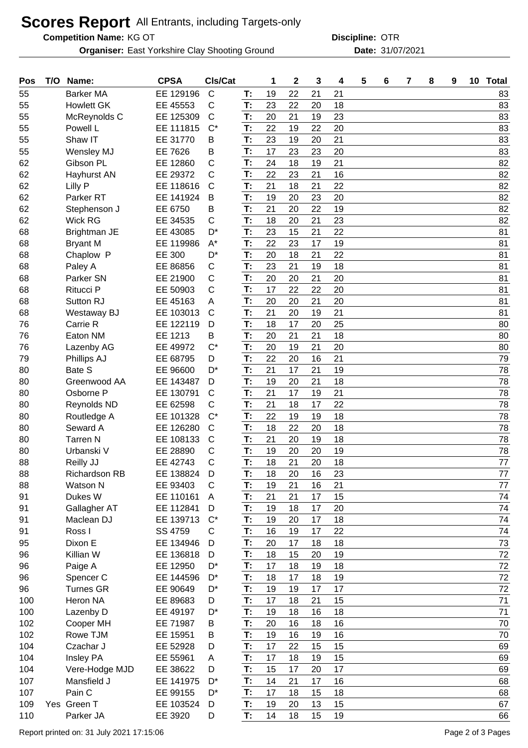## **Scores Report** All Entrants, including Targets-only

**Competition Name:**

**Organiser:** East Yorkshire Clay Shooting Ground **Date:** 31/07/2021

KG OT OTR **Discipline:**

| Pos | T/O | Name:                | <b>CPSA</b> | CIs/Cat        |    | 1  | $\mathbf 2$ | 3  | 4  | 5 | 6 | 7 | 8 | 9 | 10 | <b>Total</b> |
|-----|-----|----------------------|-------------|----------------|----|----|-------------|----|----|---|---|---|---|---|----|--------------|
| 55  |     | <b>Barker MA</b>     | EE 129196   | $\mathsf{C}$   | T: | 19 | 22          | 21 | 21 |   |   |   |   |   |    | 83           |
| 55  |     | <b>Howlett GK</b>    | EE 45553    | $\mathsf{C}$   | T: | 23 | 22          | 20 | 18 |   |   |   |   |   |    | 83           |
| 55  |     | McReynolds C         | EE 125309   | $\mathsf{C}$   | T: | 20 | 21          | 19 | 23 |   |   |   |   |   |    | 83           |
| 55  |     | Powell L             | EE 111815   | $C^*$          | T: | 22 | 19          | 22 | 20 |   |   |   |   |   |    | 83           |
| 55  |     | Shaw IT              | EE 31770    | B              | T: | 23 | 19          | 20 | 21 |   |   |   |   |   |    | 83           |
| 55  |     | Wensley MJ           | EE 7626     | B              | T: | 17 | 23          | 23 | 20 |   |   |   |   |   |    | 83           |
| 62  |     | Gibson PL            | EE 12860    | C              | T: | 24 | 18          | 19 | 21 |   |   |   |   |   |    | 82           |
| 62  |     | Hayhurst AN          | EE 29372    | C              | T: | 22 | 23          | 21 | 16 |   |   |   |   |   |    | 82           |
| 62  |     | Lilly P              | EE 118616   | $\mathsf{C}$   | T: | 21 | 18          | 21 | 22 |   |   |   |   |   |    | 82           |
| 62  |     | Parker <sub>RT</sub> | EE 141924   | B              | T: | 19 | 20          | 23 | 20 |   |   |   |   |   |    | 82           |
| 62  |     | Stephenson J         | EE 6750     | B              | T: | 21 | 20          | 22 | 19 |   |   |   |   |   |    | 82           |
| 62  |     | Wick RG              | EE 34535    | $\mathsf C$    | T: | 18 | 20          | 21 | 23 |   |   |   |   |   |    | 82           |
| 68  |     | Brightman JE         | EE 43085    | D <sup>*</sup> | T: | 23 | 15          | 21 | 22 |   |   |   |   |   |    | 81           |
| 68  |     | <b>Bryant M</b>      | EE 119986   | $A^*$          | T: | 22 | 23          | 17 | 19 |   |   |   |   |   |    | 81           |
| 68  |     | Chaplow P            | EE 300      | D <sup>*</sup> | T: | 20 | 18          | 21 | 22 |   |   |   |   |   |    | 81           |
| 68  |     | Paley A              | EE 86856    | $\mathsf{C}$   | T: | 23 | 21          | 19 | 18 |   |   |   |   |   |    | 81           |
| 68  |     | Parker SN            | EE 21900    | C              | T: | 20 | 20          | 21 | 20 |   |   |   |   |   |    | 81           |
| 68  |     | Ritucci P            | EE 50903    | $\mathsf{C}$   | T: | 17 | 22          | 22 | 20 |   |   |   |   |   |    | 81           |
| 68  |     | Sutton RJ            | EE 45163    | Α              | T: | 20 | 20          | 21 | 20 |   |   |   |   |   |    | 81           |
| 68  |     | Westaway BJ          | EE 103013   | C              | T: | 21 | 20          | 19 | 21 |   |   |   |   |   |    | 81           |
| 76  |     | Carrie R             | EE 122119   | D              | T: | 18 | 17          | 20 | 25 |   |   |   |   |   |    | 80           |
| 76  |     | Eaton NM             | EE 1213     | B              | T: | 20 | 21          | 21 | 18 |   |   |   |   |   |    | 80           |
| 76  |     | Lazenby AG           | EE 49972    | $C^*$          | T: | 20 | 19          | 21 | 20 |   |   |   |   |   |    | 80           |
| 79  |     | Phillips AJ          | EE 68795    | D              | T: | 22 | 20          | 16 | 21 |   |   |   |   |   |    | 79           |
| 80  |     | Bate S               | EE 96600    | D*             | T: | 21 | 17          | 21 | 19 |   |   |   |   |   |    | 78           |
| 80  |     | Greenwood AA         | EE 143487   | D              | T: | 19 | 20          | 21 | 18 |   |   |   |   |   |    | 78           |
| 80  |     | Osborne P            | EE 130791   | $\mathsf{C}$   | T: | 21 | 17          | 19 | 21 |   |   |   |   |   |    | 78           |
| 80  |     | Reynolds ND          | EE 62598    | $\mathsf{C}$   | T: | 21 | 18          | 17 | 22 |   |   |   |   |   |    | 78           |
| 80  |     | Routledge A          | EE 101328   | $C^*$          | T: | 22 | 19          | 19 | 18 |   |   |   |   |   |    | 78           |
| 80  |     | Seward A             | EE 126280   | $\mathsf{C}$   | T: | 18 | 22          | 20 | 18 |   |   |   |   |   |    | 78           |
| 80  |     | <b>Tarren N</b>      | EE 108133   | $\mathsf{C}$   | T: | 21 | 20          | 19 | 18 |   |   |   |   |   |    | 78           |
| 80  |     | Urbanski V           | EE 28890    | C              | T: | 19 | 20          | 20 | 19 |   |   |   |   |   |    | 78           |
| 88  |     | Reilly JJ            | EE 42743    | $\mathsf{C}$   | T: | 18 | 21          | 20 | 18 |   |   |   |   |   |    | 77           |
| 88  |     | <b>Richardson RB</b> | EE 138824   | D              | Т: | 18 | 20          | 16 | 23 |   |   |   |   |   |    | 77           |
| 88  |     | Watson N             | EE 93403    | C              | T: | 19 | 21          | 16 | 21 |   |   |   |   |   |    | 77           |
| 91  |     | Dukes W              | EE 110161   | A              | T: | 21 | 21          | 17 | 15 |   |   |   |   |   |    | 74           |
| 91  |     | Gallagher AT         | EE 112841   | D              | T: | 19 | 18          | 17 | 20 |   |   |   |   |   |    | 74           |
| 91  |     | Maclean DJ           | EE 139713   | $C^*$          | T: | 19 | 20          | 17 | 18 |   |   |   |   |   |    | 74           |
| 91  |     | Ross I               | SS 4759     | C              | T: | 16 | 19          | 17 | 22 |   |   |   |   |   |    | 74           |
| 95  |     | Dixon E              | EE 134946   | D              | T: | 20 | 17          | 18 | 18 |   |   |   |   |   |    | 73           |
| 96  |     | Killian W            | EE 136818   | D              | T: | 18 | 15          | 20 | 19 |   |   |   |   |   |    | 72           |
| 96  |     | Paige A              | EE 12950    | D <sup>*</sup> | T: | 17 | 18          | 19 | 18 |   |   |   |   |   |    | 72           |
| 96  |     | Spencer C            | EE 144596   | $D^*$          | T. | 18 | 17          | 18 | 19 |   |   |   |   |   |    | 72           |
| 96  |     | <b>Turnes GR</b>     | EE 90649    | D <sup>*</sup> | T: | 19 | 19          | 17 | 17 |   |   |   |   |   |    | 72           |
| 100 |     | Heron NA             | EE 89683    | D              | T: | 17 | 18          | 21 | 15 |   |   |   |   |   |    | 71           |
| 100 |     | Lazenby D            | EE 49197    | D*             | T: | 19 | 18          | 16 | 18 |   |   |   |   |   |    | 71           |
| 102 |     | Cooper MH            | EE 71987    | B              | T: | 20 | 16          | 18 | 16 |   |   |   |   |   |    | 70           |
| 102 |     | Rowe TJM             | EE 15951    | B              | T: | 19 | 16          | 19 | 16 |   |   |   |   |   |    | 70           |
| 104 |     | Czachar J            | EE 52928    | D              | T: | 17 | 22          | 15 | 15 |   |   |   |   |   |    | 69           |
| 104 |     | Insley PA            | EE 55961    | A              | T: | 17 | 18          | 19 | 15 |   |   |   |   |   |    | 69           |
| 104 |     | Vere-Hodge MJD       | EE 38622    | D              | T: | 15 | 17          | 20 | 17 |   |   |   |   |   |    | 69           |
| 107 |     | Mansfield J          | EE 141975   | $D^*$          | T: | 14 | 21          | 17 | 16 |   |   |   |   |   |    | 68           |
| 107 |     | Pain C               | EE 99155    | D*             | T: | 17 | 18          | 15 | 18 |   |   |   |   |   |    | 68           |
| 109 |     | Yes Green T          | EE 103524   | D              | T: | 19 | 20          | 13 | 15 |   |   |   |   |   |    | 67           |
| 110 |     | Parker JA            | EE 3920     |                | T: | 14 | 18          | 15 | 19 |   |   |   |   |   |    | 66           |
|     |     |                      |             | D              |    |    |             |    |    |   |   |   |   |   |    |              |

Report printed on: 31 July 2021 17:15:06 Page 2 of 3 Pages